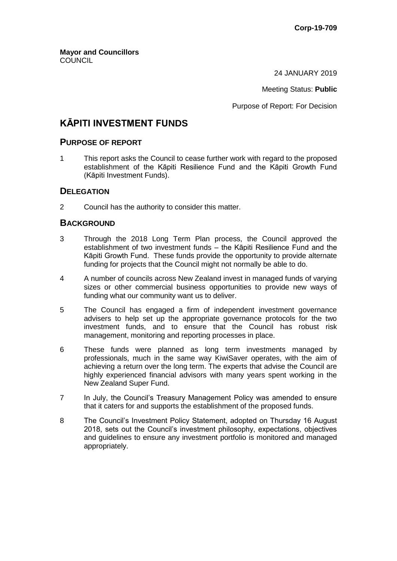**Mayor and Councillors COUNCIL** 

24 JANUARY 2019

Meeting Status: **Public**

Purpose of Report: For Decision

# **KĀPITI INVESTMENT FUNDS**

### **PURPOSE OF REPORT**

1 This report asks the Council to cease further work with regard to the proposed establishment of the Kāpiti Resilience Fund and the Kāpiti Growth Fund (Kāpiti Investment Funds).

#### **DELEGATION**

2 Council has the authority to consider this matter.

#### **BACKGROUND**

- 3 Through the 2018 Long Term Plan process, the Council approved the establishment of two investment funds – the Kāpiti Resilience Fund and the Kāpiti Growth Fund. These funds provide the opportunity to provide alternate funding for projects that the Council might not normally be able to do.
- 4 A number of councils across New Zealand invest in managed funds of varying sizes or other commercial business opportunities to provide new ways of funding what our community want us to deliver.
- 5 The Council has engaged a firm of independent investment governance advisers to help set up the appropriate governance protocols for the two investment funds, and to ensure that the Council has robust risk management, monitoring and reporting processes in place.
- 6 These funds were planned as long term investments managed by professionals, much in the same way KiwiSaver operates, with the aim of achieving a return over the long term. The experts that advise the Council are highly experienced financial advisors with many years spent working in the New Zealand Super Fund.
- 7 In July, the Council's Treasury Management Policy was amended to ensure that it caters for and supports the establishment of the proposed funds.
- 8 The Council's Investment Policy Statement, adopted on Thursday 16 August 2018, sets out the Council's investment philosophy, expectations, objectives and guidelines to ensure any investment portfolio is monitored and managed appropriately.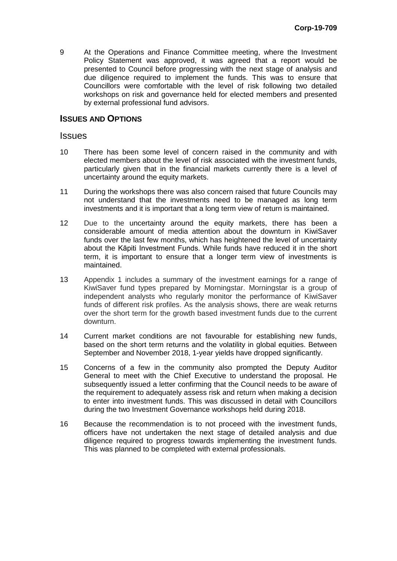9 At the Operations and Finance Committee meeting, where the Investment Policy Statement was approved, it was agreed that a report would be presented to Council before progressing with the next stage of analysis and due diligence required to implement the funds. This was to ensure that Councillors were comfortable with the level of risk following two detailed workshops on risk and governance held for elected members and presented by external professional fund advisors.

#### **ISSUES AND OPTIONS**

#### **Issues**

- 10 There has been some level of concern raised in the community and with elected members about the level of risk associated with the investment funds, particularly given that in the financial markets currently there is a level of uncertainty around the equity markets.
- 11 During the workshops there was also concern raised that future Councils may not understand that the investments need to be managed as long term investments and it is important that a long term view of return is maintained.
- 12 Due to the uncertainty around the equity markets, there has been a considerable amount of media attention about the downturn in KiwiSaver funds over the last few months, which has heightened the level of uncertainty about the Kāpiti Investment Funds. While funds have reduced it in the short term, it is important to ensure that a longer term view of investments is maintained.
- 13 Appendix 1 includes a summary of the investment earnings for a range of KiwiSaver fund types prepared by Morningstar. Morningstar is a group of independent analysts who regularly monitor the performance of KiwiSaver funds of different risk profiles. As the analysis shows, there are weak returns over the short term for the growth based investment funds due to the current downturn.
- 14 Current market conditions are not favourable for establishing new funds, based on the short term returns and the volatility in global equities. Between September and November 2018, 1-year yields have dropped significantly.
- 15 Concerns of a few in the community also prompted the Deputy Auditor General to meet with the Chief Executive to understand the proposal. He subsequently issued a letter confirming that the Council needs to be aware of the requirement to adequately assess risk and return when making a decision to enter into investment funds. This was discussed in detail with Councillors during the two Investment Governance workshops held during 2018.
- 16 Because the recommendation is to not proceed with the investment funds, officers have not undertaken the next stage of detailed analysis and due diligence required to progress towards implementing the investment funds. This was planned to be completed with external professionals.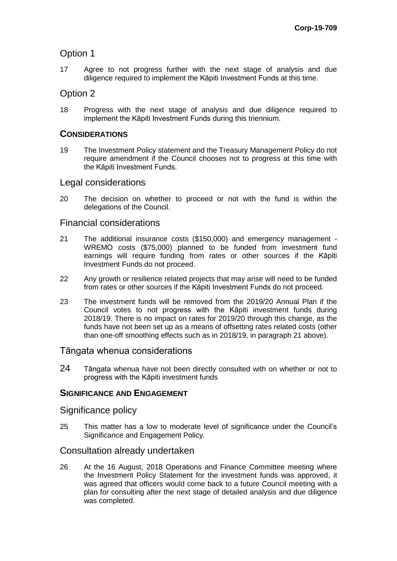# Option 1

17 Agree to not progress further with the next stage of analysis and due diligence required to implement the Kāpiti Investment Funds at this time.

## Option 2

18 Progress with the next stage of analysis and due diligence required to implement the Kāpiti Investment Funds during this triennium.

### **CONSIDERATIONS**

19 The Investment Policy statement and the Treasury Management Policy do not require amendment if the Council chooses not to progress at this time with the Kāpiti Investment Funds.

### Legal considerations

20 The decision on whether to proceed or not with the fund is within the delegations of the Council.

### Financial considerations

- 21 The additional insurance costs (\$150,000) and emergency management WREMO costs (\$75,000) planned to be funded from investment fund earnings will require funding from rates or other sources if the Kāpiti Investment Funds do not proceed.
- 22 Any growth or resilience related projects that may arise will need to be funded from rates or other sources if the Kāpiti Investment Funds do not proceed.
- 23 The investment funds will be removed from the 2019/20 Annual Plan if the Council votes to not progress with the Kāpiti investment funds during 2018/19. There is no impact on rates for 2019/20 through this change, as the funds have not been set up as a means of offsetting rates related costs (other than one-off smoothing effects such as in 2018/19, in paragraph 21 above).

### Tāngata whenua considerations

24 Tāngata whenua have not been directly consulted with on whether or not to progress with the Kāpiti investment funds

### **SIGNIFICANCE AND ENGAGEMENT**

### Significance policy

25 This matter has a low to moderate level of significance under the Council's Significance and Engagement Policy.

### Consultation already undertaken

26 At the 16 August, 2018 Operations and Finance Committee meeting where the Investment Policy Statement for the investment funds was approved, it was agreed that officers would come back to a future Council meeting with a plan for consulting after the next stage of detailed analysis and due diligence was completed.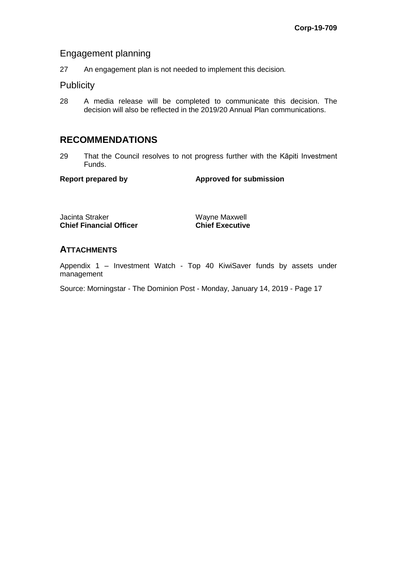### Engagement planning

27 An engagement plan is not needed to implement this decision*.*

### **Publicity**

28 A media release will be completed to communicate this decision. The decision will also be reflected in the 2019/20 Annual Plan communications.

# **RECOMMENDATIONS**

29 That the Council resolves to not progress further with the Kāpiti Investment Funds.

**Report prepared by Approved for submission**

Jacinta Straker Wayne Maxwell<br> **Chief Financial Officer** Chief Executive **Chief Financial Officer** 

#### **ATTACHMENTS**

Appendix 1 – Investment Watch - Top 40 KiwiSaver funds by assets under management

Source: Morningstar - The Dominion Post - Monday, January 14, 2019 - Page 17